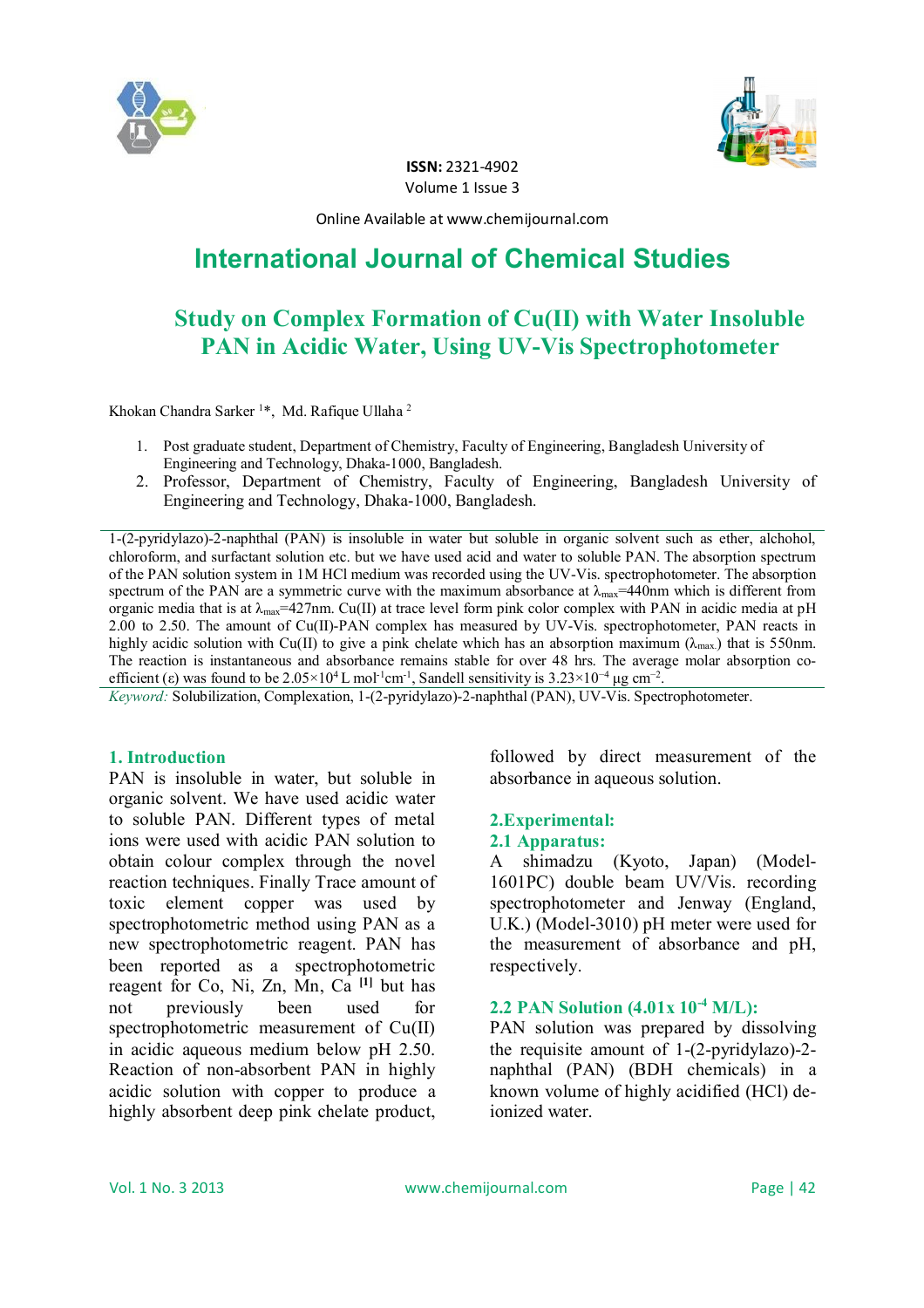



**ISSN:** 2321-4902 Volume 1 Issue 3

Online Available at www.chemijournal.com

# **International Journal of Chemical Studies**

# **Study on Complex Formation of Cu(II) with Water Insoluble PAN in Acidic Water, Using UV-Vis Spectrophotometer**

Khokan Chandra Sarker <sup>1</sup>\*, Md. Rafique Ullaha <sup>2</sup>

- 1. Post graduate student, Department of Chemistry, Faculty of Engineering, Bangladesh University of Engineering and Technology, Dhaka-1000, Bangladesh.
- 2. Professor, Department of Chemistry, Faculty of Engineering, Bangladesh University of Engineering and Technology, Dhaka-1000, Bangladesh.

1-(2-pyridylazo)-2-naphthal (PAN) is insoluble in water but soluble in organic solvent such as ether, alchohol, chloroform, and surfactant solution etc. but we have used acid and water to soluble PAN. The absorption spectrum of the PAN solution system in 1M HCl medium was recorded using the UV-Vis. spectrophotometer. The absorption spectrum of the PAN are a symmetric curve with the maximum absorbance at  $\lambda_{\text{max}}$ =440nm which is different from organic media that is at  $\lambda_{\text{max}}$ =427nm. Cu(II) at trace level form pink color complex with PAN in acidic media at pH 2.00 to 2.50. The amount of Cu(II)-PAN complex has measured by UV-Vis. spectrophotometer, PAN reacts in highly acidic solution with Cu(II) to give a pink chelate which has an absorption maximum ( $\lambda_{\text{max}}$ ) that is 550nm. The reaction is instantaneous and absorbance remains stable for over 48 hrs. The average molar absorption coefficient (ε) was found to be  $2.05 \times 10^4$  L mol<sup>-1</sup>cm<sup>-1</sup>, Sandell sensitivity is  $3.23 \times 10^{-4}$  µg cm<sup>-2</sup>.

*Keyword:* Solubilization, Complexation, 1-(2-pyridylazo)-2-naphthal (PAN), UV-Vis. Spectrophotometer.

#### **1. Introduction**

PAN is insoluble in water, but soluble in organic solvent. We have used acidic water to soluble PAN. Different types of metal ions were used with acidic PAN solution to obtain colour complex through the novel reaction techniques. Finally Trace amount of toxic element copper was used by spectrophotometric method using PAN as a new spectrophotometric reagent. PAN has been reported as a spectrophotometric reagent for Co, Ni, Zn, Mn, Ca **[1]** but has not previously been used for spectrophotometric measurement of Cu(II) in acidic aqueous medium below pH 2.50. Reaction of non-absorbent PAN in highly acidic solution with copper to produce a highly absorbent deep pink chelate product,

followed by direct measurement of the absorbance in aqueous solution.

#### **2.Experimental: 2.1 Apparatus:**

A shimadzu (Kyoto, Japan) (Model-1601PC) double beam UV/Vis. recording spectrophotometer and Jenway (England, U.K.) (Model-3010) pH meter were used for the measurement of absorbance and pH, respectively.

# **2.2 PAN Solution (4.01x 10-4 M/L):**

PAN solution was prepared by dissolving the requisite amount of 1-(2-pyridylazo)-2 naphthal (PAN) (BDH chemicals) in a known volume of highly acidified (HCl) deionized water.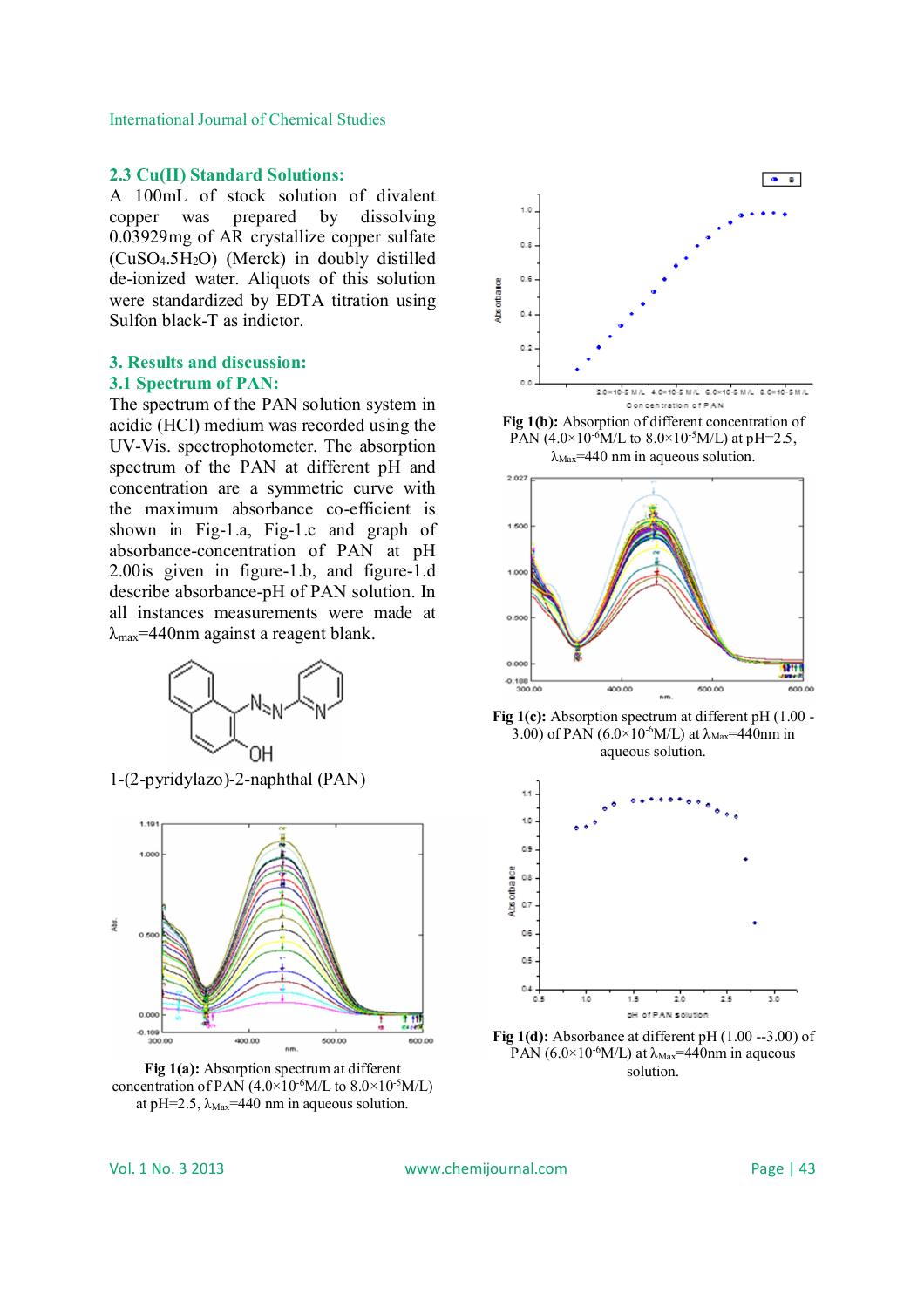International Journal of Chemical Studies

#### **2.3 Cu(II) Standard Solutions:**

A 100mL of stock solution of divalent copper was prepared by dissolving 0.03929mg of AR crystallize copper sulfate (CuSO4.5H2O) (Merck) in doubly distilled de-ionized water. Aliquots of this solution were standardized by EDTA titration using Sulfon black-T as indictor.

### **3. Results and discussion: 3.1 Spectrum of PAN:**

The spectrum of the PAN solution system in acidic (HCl) medium was recorded using the UV-Vis. spectrophotometer. The absorption spectrum of the PAN at different pH and concentration are a symmetric curve with the maximum absorbance co-efficient is shown in Fig-1.a, Fig-1.c and graph of absorbance-concentration of PAN at pH 2.00is given in figure-1.b, and figure-1.d describe absorbance-pH of PAN solution. In all instances measurements were made at  $\lambda_{\text{max}}$ =440nm against a reagent blank.



1-(2-pyridylazo)-2-naphthal (PAN)



**Fig 1(a):** Absorption spectrum at different concentration of PAN  $(4.0\times10^{-6}M/L)$  to  $8.0\times10^{-5}M/L$ ) at pH=2.5,  $\lambda_{\text{Max}}$ =440 nm in aqueous solution.





**Fig 1(c):** Absorption spectrum at different pH (1.00 - 3.00) of PAN (6.0×10<sup>-6</sup>M/L) at  $\lambda_{\text{Max}}$ =440nm in aqueous solution.



**Fig 1(d):** Absorbance at different pH (1.00 --3.00) of PAN (6.0×10<sup>-6</sup>M/L) at  $\lambda_{\text{Max}}$ =440nm in aqueous solution.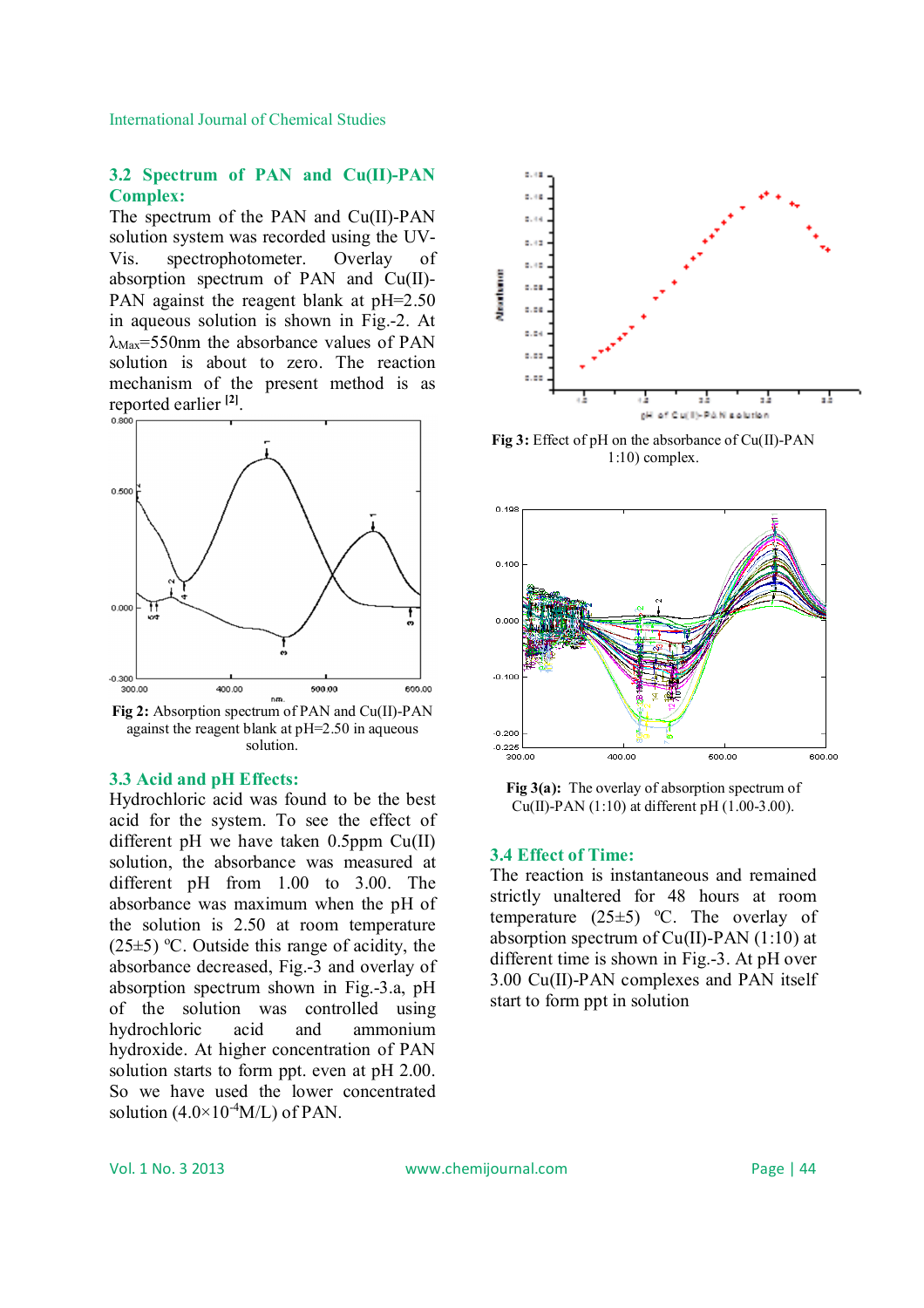International Journal of Chemical Studies

#### **3.2 Spectrum of PAN and Cu(II)-PAN Complex:**

The spectrum of the PAN and Cu(II)-PAN solution system was recorded using the UV-Vis. spectrophotometer. Overlay of absorption spectrum of PAN and Cu(II)- PAN against the reagent blank at pH=2.50 in aqueous solution is shown in Fig.-2. At  $\lambda_{\text{Max}}$ =550nm the absorbance values of PAN solution is about to zero. The reaction mechanism of the present method is as reported earlier **[2]** .



**Fig 2:** Absorption spectrum of PAN and Cu(II)-PAN against the reagent blank at pH=2.50 in aqueous solution.

### **3.3 Acid and pH Effects:**

Hydrochloric acid was found to be the best acid for the system. To see the effect of different pH we have taken 0.5ppm Cu(II) solution, the absorbance was measured at different pH from 1.00 to 3.00. The absorbance was maximum when the pH of the solution is 2.50 at room temperature  $(25\pm5)$  °C. Outside this range of acidity, the absorbance decreased, Fig.-3 and overlay of absorption spectrum shown in Fig.-3.a, pH of the solution was controlled using hydrochloric acid and ammonium hydroxide. At higher concentration of PAN solution starts to form ppt. even at pH 2.00. So we have used the lower concentrated solution  $(4.0\times10^{-4}M/L)$  of PAN.



**Fig 3:** Effect of pH on the absorbance of Cu(II)-PAN 1:10) complex.



Fig 3(a): The overlay of absorption spectrum of  $Cu(II)$ -PAN (1:10) at different pH (1.00-3.00).

#### **3.4 Effect of Time:**

The reaction is instantaneous and remained strictly unaltered for 48 hours at room temperature  $(25\pm5)$  °C. The overlay of absorption spectrum of  $Cu(II)$ -PAN (1:10) at different time is shown in Fig.-3. At pH over 3.00 Cu(II)-PAN complexes and PAN itself start to form ppt in solution.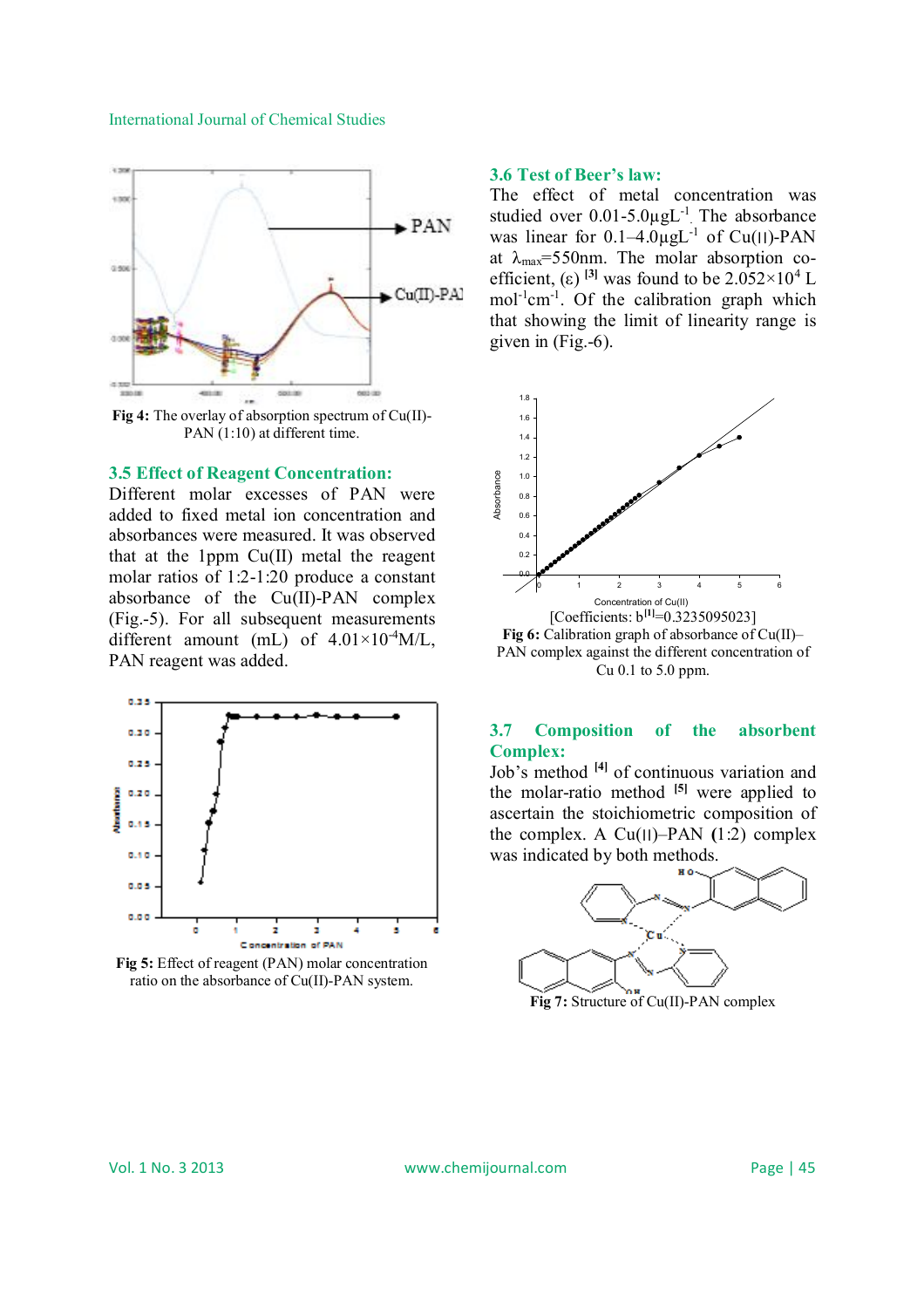#### International Journal of Chemical Studies



**Fig 4:** The overlay of absorption spectrum of Cu(II)- PAN  $(1:10)$  at different time.

#### **3.5 Effect of Reagent Concentration:**

Different molar excesses of PAN were added to fixed metal ion concentration and absorbances were measured. It was observed that at the 1ppm Cu(II) metal the reagent molar ratios of 1:2-1:20 produce a constant absorbance of the Cu(II)-PAN complex (Fig.-5). For all subsequent measurements different amount (mL) of  $4.01 \times 10^{-4} M/L$ , PAN reagent was added.



**Fig 5:** Effect of reagent (PAN) molar concentration ratio on the absorbance of Cu(II)-PAN system.

#### **3.6 Test of Beer's law:**

The effect of metal concentration was studied over  $0.01$ -5.0 $\mu$ gL<sup>-1</sup>. The absorbance was linear for  $0.1-4.0\mu gL^{-1}$  of Cu(||)-PAN at  $\lambda_{\text{max}}$ =550nm. The molar absorption coefficient, (ε) <sup>[3]</sup> was found to be  $2.052 \times 10^4$  L mol<sup>-1</sup>cm<sup>-1</sup>. Of the calibration graph which that showing the limit of linearity range is given in (Fig.-6).



Cu 0.1 to 5.0 ppm.

#### **3.7 Composition of the absorbent Complex:**

Job's method **[4]** of continuous variation and the molar-ratio method **[5]** were applied to ascertain the stoichiometric composition of the complex. A  $Cu(II)$ –PAN  $(1:2)$  complex was indicated by both methods.



**Fig 7:** Structure of Cu(II)-PAN complex